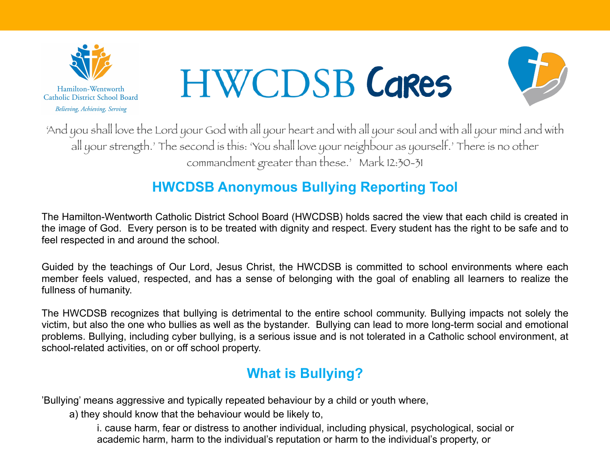

'And you shall love the Lord your God with all your heart and with all your soul and with all your mind and with all your strength.' The second is this: 'You shall love your neighbour as yourself.' There is no other commandment greater than these.' Mark 12:30-31

## **HWCDSB Anonymous Bullying Reporting Tool**

The Hamilton-Wentworth Catholic District School Board (HWCDSB) holds sacred the view that each child is created in the image of God. Every person is to be treated with dignity and respect. Every student has the right to be safe and to feel respected in and around the school.

Guided by the teachings of Our Lord, Jesus Christ, the HWCDSB is committed to school environments where each member feels valued, respected, and has a sense of belonging with the goal of enabling all learners to realize the fullness of humanity.

The HWCDSB recognizes that bullying is detrimental to the entire school community. Bullying impacts not solely the victim, but also the one who bullies as well as the bystander. Bullying can lead to more long-term social and emotional problems. Bullying, including cyber bullying, is a serious issue and is not tolerated in a Catholic school environment, at school-related activities, on or off school property.

## **What is Bullying?**

'Bullying' means aggressive and typically repeated behaviour by a child or youth where,

a) they should know that the behaviour would be likely to,

i. cause harm, fear or distress to another individual, including physical, psychological, social or academic harm, harm to the individual's reputation or harm to the individual's property, or